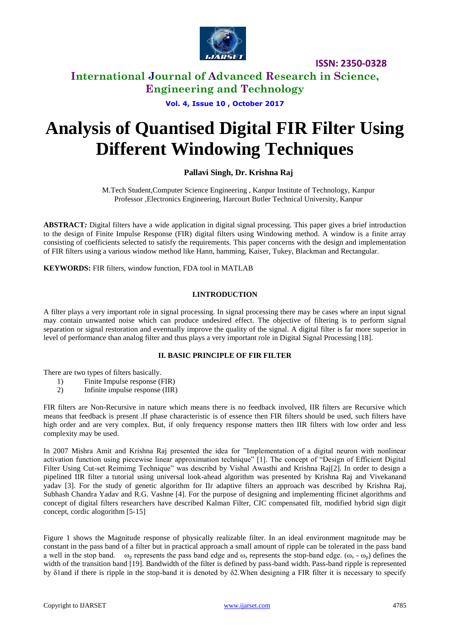

**ISSN: 2350-0328**

### **International Journal of Advanced Research in Science, Engineering and Technology**

**Vol. 4, Issue 10 , October 2017**

# **Analysis of Quantised Digital FIR Filter Using Different Windowing Techniques**

### **Pallavi Singh, Dr. Krishna Raj**

M.Tech Student,Computer Science Engineering , Kanpur Institute of Technology, Kanpur Professor ,Electronics Engineering, Harcourt Butler Technical University, Kanpur

**ABSTRACT***:* Digital filters have a wide application in digital signal processing. This paper gives a brief introduction to the design of Finite Impulse Response (FIR) digital filters using Windowing method. A window is a finite array consisting of coefficients selected to satisfy the requirements. This paper concerns with the design and implementation of FIR filters using a various window method like Hann, hamming, Kaiser, Tukey, Blackman and Rectangular.

**KEYWORDS:** FIR filters, window function, FDA tool in MATLAB

### **I.INTRODUCTION**

A filter plays a very important role in signal processing. In signal processing there may be cases where an input signal may contain unwanted noise which can produce undesired effect. The objective of filtering is to perform signal separation or signal restoration and eventually improve the quality of the signal. A digital filter is far more superior in level of performance than analog filter and thus plays a very important role in Digital Signal Processing [18].

### **II. BASIC PRINCIPLE OF FIR FILTER**

There are two types of filters basically.

- 1) Finite Impulse response (FIR)
- 2) Infinite impulse response (IIR)

FIR filters are Non-Recursive in nature which means there is no feedback involved, IIR filters are Recursive which means that feedback is present .If phase characteristic is of essence then FIR filters should be used, such filters have high order and are very complex. But, if only frequency response matters then IIR filters with low order and less complexity may be used.

In 2007 Mishra Amit and Krishna Raj presented the idea for "Implementation of a digital neuron with nonlinear activation function using piecewise linear approximation technique" [1]. The concept of "Design of Efficient Digital Filter Using Cut-set Reimimg Technique" was describd by Vishal Awasthi and Krishna Raj[2]. In order to design a pipelined IIR filter a tutorial using universal look-ahead algorithm was presented by Krishna Raj and Vivekanand yadav [3]. For the study of genetic algorithm for IIr adaptive filters an approach was described by Krishna Raj, Subhash Chandra Yadav and R.G. Vashne [4]. For the purpose of designing and implementing fficinet algorithms and concept of digital filters researchers have described Kalman Filter, CIC compensated filt, modified hybrid sign digit concept, cordic alogorithm [5-15]

Figure 1 shows the Magnitude response of physically realizable filter. In an ideal environment magnitude may be constant in the pass band of a filter but in practical approach a small amount of ripple can be tolerated in the pass band a well in the stop band.  $\omega_p$  represents the pass band edge and  $\omega_s$  represents the stop-band edge. ( $\omega_s - \omega_p$ ) defines the width of the transition band [19]. Bandwidth of the filter is defined by pass-band width. Pass-band ripple is represented by δ1and if there is ripple in the stop-band it is denoted by δ2.When designing a FIR filter it is necessary to specify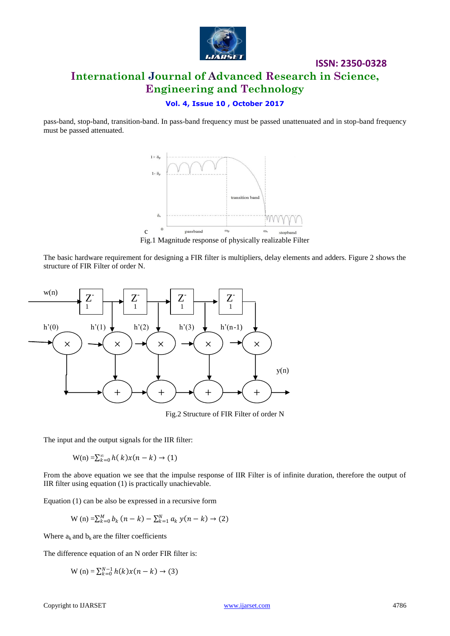

**ISSN: 2350-0328**

### **Vol. 4, Issue 10 , October 2017**

pass-band, stop-band, transition-band. In pass-band frequency must be passed unattenuated and in stop-band frequency must be passed attenuated.



Fig.1 Magnitude response of physically realizable Filter

The basic hardware requirement for designing a FIR filter is multipliers, delay elements and adders. Figure 2 shows the structure of FIR Filter of order N.



Fig.2 Structure of FIR Filter of order N

The input and the output signals for the IIR filter:

 $W(n) = \sum_{k=0}^{\infty} h(k)x(n-k) \to (1)$ 

From the above equation we see that the impulse response of IIR Filter is of infinite duration, therefore the output of IIR filter using equation (1) is practically unachievable.

Equation (1) can be also be expressed in a recursive form

W (n) = 
$$
\sum_{k=0}^{M} b_k (n-k) - \sum_{k=1}^{N} a_k y(n-k) \rightarrow (2)
$$

Where  $a_k$  and  $b_k$  are the filter coefficients

The difference equation of an N order FIR filter is:

$$
W(n) = \sum_{k=0}^{N-1} h(k)x(n-k) \to (3)
$$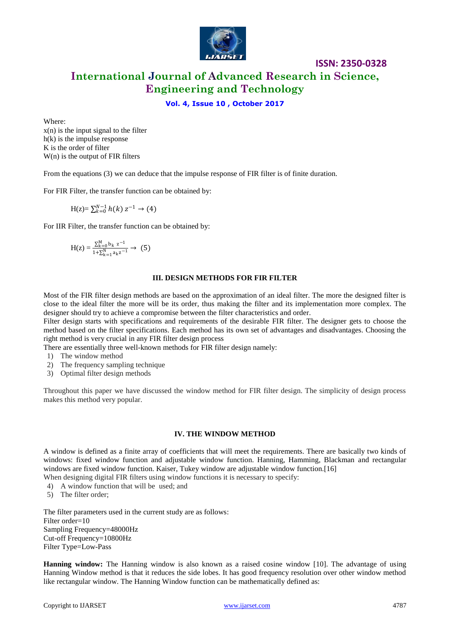

**ISSN: 2350-0328**

### **Vol. 4, Issue 10 , October 2017**

Where:

 $x(n)$  is the input signal to the filter h(k) is the impulse response K is the order of filter W(n) is the output of FIR filters

From the equations (3) we can deduce that the impulse response of FIR filter is of finite duration.

For FIR Filter, the transfer function can be obtained by:

$$
H(z) = \sum_{k=0}^{N-1} h(k) z^{-1} \to (4)
$$

For IIR Filter, the transfer function can be obtained by:

$$
H(z) = \tfrac{\sum_{k=0}^{M} b_k \ z^{-1}}{1 + \sum_{k=1}^{N} a_k z^{-1}} \to \ (5)
$$

#### **III. DESIGN METHODS FOR FIR FILTER**

Most of the FIR filter design methods are based on the approximation of an ideal filter. The more the designed filter is close to the ideal filter the more will be its order, thus making the filter and its implementation more complex. The designer should try to achieve a compromise between the filter characteristics and order.

Filter design starts with specifications and requirements of the desirable FIR filter. The designer gets to choose the method based on the filter specifications. Each method has its own set of advantages and disadvantages. Choosing the right method is very crucial in any FIR filter design process

There are essentially three well-known methods for FIR filter design namely:

- 1) The window method
- 2) The frequency sampling technique
- 3) Optimal filter design methods

Throughout this paper we have discussed the window method for FIR filter design. The simplicity of design process makes this method very popular.

#### **IV. THE WINDOW METHOD**

A window is defined as a finite array of coefficients that will meet the requirements. There are basically two kinds of windows: fixed window function and adjustable window function. Hanning, Hamming, Blackman and rectangular windows are fixed window function. Kaiser, Tukey window are adjustable window function.[16]

When designing digital FIR filters using window functions it is necessary to specify:

- 4) A window function that will be used; and
- 5) The filter order;

The filter parameters used in the current study are as follows: Filter order=10 Sampling Frequency=48000Hz Cut-off Frequency=10800Hz Filter Type=Low-Pass

**Hanning window:** The Hanning window is also known as a raised cosine window [10]. The advantage of using Hanning Window method is that it reduces the side lobes. It has good frequency resolution over other window method like rectangular window. The Hanning Window function can be mathematically defined as: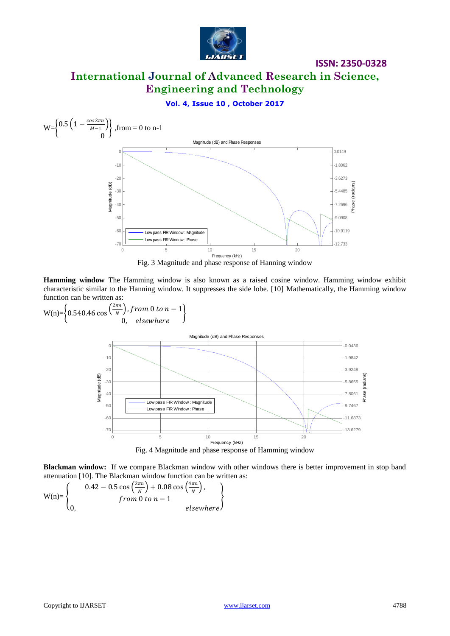

**ISSN: 2350-0328**

### **Vol. 4, Issue 10 , October 2017**



Fig. 3 Magnitude and phase response of Hanning window

**Hamming window** The Hamming window is also known as a raised cosine window. Hamming window exhibit characteristic similar to the Hanning window. It suppresses the side lobe. [10] Mathematically, the Hamming window function can be written as:

W(n)=
$$
\left\{0.540.46 \cos\left(\frac{2\pi n}{N}\right), from 0 to n-1\right\}
$$
\nMagnitude (dB) and Phase Responses  
\n
$$
\frac{10}{N}
$$
\n
$$
\frac{100}{N}
$$
\n
$$
\frac{100}{N}
$$
\n
$$
\frac{100}{N}
$$
\n
$$
\frac{100}{N}
$$
\n
$$
\frac{100}{N}
$$
\n
$$
\frac{100}{N}
$$
\n
$$
\frac{100}{N}
$$
\n
$$
\frac{100}{N}
$$
\n
$$
\frac{100}{N}
$$
\n
$$
\frac{100}{N}
$$
\n
$$
\frac{100}{N}
$$
\n
$$
\frac{100}{N}
$$
\n
$$
\frac{100}{N}
$$
\n
$$
\frac{100}{N}
$$
\n
$$
\frac{100}{N}
$$
\n
$$
\frac{100}{N}
$$
\n
$$
\frac{100}{N}
$$
\n
$$
\frac{100}{N}
$$
\n
$$
\frac{100}{N}
$$
\n
$$
\frac{100}{N}
$$
\n
$$
\frac{100}{N}
$$
\n
$$
\frac{100}{N}
$$
\n
$$
\frac{100}{N}
$$
\n
$$
\frac{100}{N}
$$
\n
$$
\frac{100}{N}
$$
\n
$$
\frac{100}{N}
$$
\n
$$
\frac{100}{N}
$$
\n
$$
\frac{100}{N}
$$
\n
$$
\frac{100}{N}
$$
\n
$$
\frac{100}{N}
$$
\n
$$
\frac{100}{N}
$$
\n
$$
\frac{100}{N}
$$
\n
$$
\frac{100}{N}
$$
\n
$$
\frac{100}{N}
$$
\n
$$
\frac{100}{N}
$$
\n
$$
\frac{100}{N}
$$
\n
$$
\frac{100}{N}
$$
\n
$$
\frac{100}{N}
$$
\n
$$
\frac{100}{N}
$$
\n
$$
\frac{100}{N}
$$
\n
$$
\frac{
$$

**Blackman window:** If we compare Blackman window with other windows there is better improvement in stop band attenuation [10]. The Blackman window function can be written as:

$$
W(n) = \begin{Bmatrix} 0.42 - 0.5 \cos\left(\frac{2\pi n}{N}\right) + 0.08 \cos\left(\frac{4\pi n}{N}\right), \\ from 0 to n - 1 \\ 0, \qquad \qquad else where \end{Bmatrix}
$$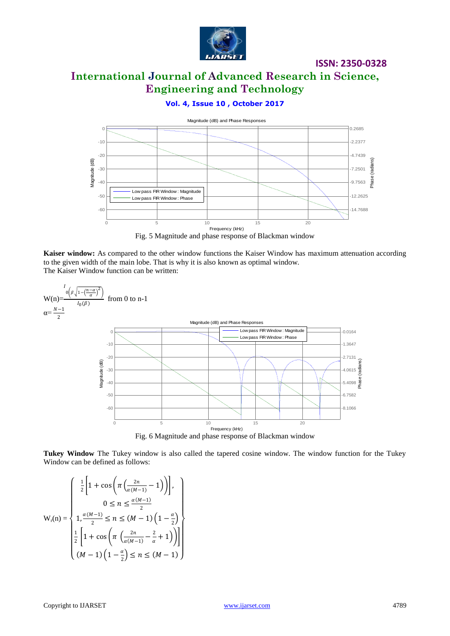

**ISSN: 2350-0328**

### **Vol. 4, Issue 10 , October 2017**



Fig. 5 Magnitude and phase response of Blackman window

**Kaiser window:** As compared to the other window functions the Kaiser Window has maximum attenuation according to the given width of the main lobe. That is why it is also known as optimal window.

The Kaiser Window function can be written:



**Tukey Window** The Tukey window is also called the tapered cosine window. The window function for the Tukey Window can be defined as follows:

$$
W_r(n) = \begin{cases} \frac{1}{2} \left[ 1 + \cos\left( \pi \left( \frac{2n}{\alpha(M-1)} - 1 \right) \right) \right], \\ 0 \le n \le \frac{\alpha(M-1)}{2} \\ 1, \frac{\alpha(M-1)}{2} \le n \le (M-1) \left( 1 - \frac{\alpha}{2} \right) \\ \frac{1}{2} \left[ 1 + \cos\left( \pi \left( \frac{2n}{\alpha(M-1)} - \frac{2}{\alpha} + 1 \right) \right) \right] \\ (M-1) \left( 1 - \frac{\alpha}{2} \right) \le n \le (M-1) \end{cases}
$$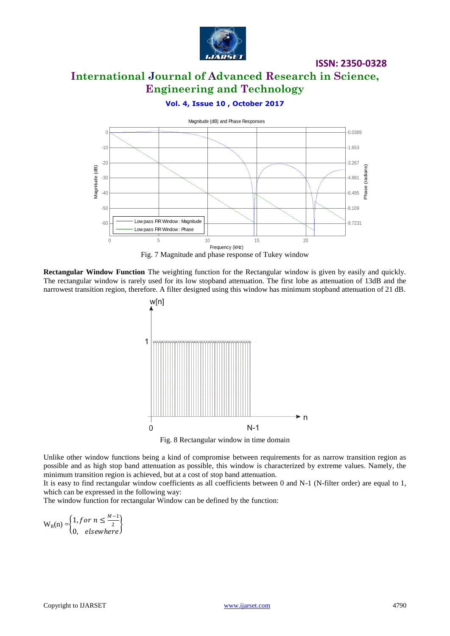

**ISSN: 2350-0328**

### **Vol. 4, Issue 10 , October 2017**



Fig. 7 Magnitude and phase response of Tukey window

**Rectangular Window Function** The weighting function for the Rectangular window is given by easily and quickly. The rectangular window is rarely used for its low stopband attenuation. The first lobe as attenuation of 13dB and the narrowest transition region, therefore. A filter designed using this window has minimum stopband attenuation of 21 dB.



Fig. 8 Rectangular window in time domain

Unlike other window functions being a kind of compromise between requirements for as narrow transition region as possible and as high stop band attenuation as possible, this window is characterized by extreme values. Namely, the minimum transition region is achieved, but at a cost of stop band attenuation.

It is easy to find rectangular window coefficients as all coefficients between 0 and N-1 (N-filter order) are equal to 1, which can be expressed in the following way:

The window function for rectangular Window can be defined by the function:

$$
W_R(n) = \begin{cases} 1, for \ n \le \frac{M-1}{2} \\ 0, \ \ \text{elsewhere} \end{cases}
$$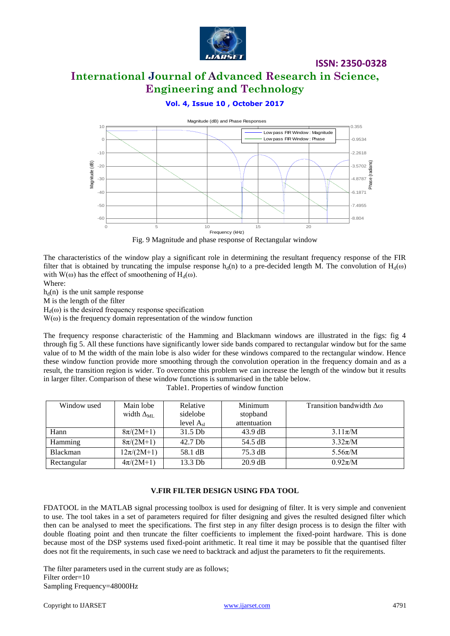

**ISSN: 2350-0328**

### **Vol. 4, Issue 10 , October 2017**



Fig. 9 Magnitude and phase response of Rectangular window

The characteristics of the window play a significant role in determining the resultant frequency response of the FIR filter that is obtained by truncating the impulse response  $h_d(n)$  to a pre-decided length M. The convolution of  $H_d(\omega)$ with W(ω) has the effect of smoothening of H<sub>d</sub>(ω).

Where:

 $h_d(n)$  is the unit sample response

M is the length of the filter

 $H_d(\omega)$  is the desired frequency response specification

 $W(\omega)$  is the frequency domain representation of the window function

The frequency response characteristic of the Hamming and Blackmann windows are illustrated in the figs: fig 4 through fig 5. All these functions have significantly lower side bands compared to rectangular window but for the same value of to M the width of the main lobe is also wider for these windows compared to the rectangular window. Hence these window function provide more smoothing through the convolution operation in the frequency domain and as a result, the transition region is wider. To overcome this problem we can increase the length of the window but it results in larger filter. Comparison of these window functions is summarised in the table below.

| Window used | Main lobe           | Relative       | Minimum           | Transition bandwidth $\Delta\omega$ |  |
|-------------|---------------------|----------------|-------------------|-------------------------------------|--|
|             | width $\Delta_{ML}$ | sidelobe       | stopband          |                                     |  |
|             |                     | level $A_{sl}$ | attentuation      |                                     |  |
| Hann        | $8\pi/(2M+1)$       | $31.5$ Db      | $43.9 \text{ dB}$ | $3.11\pi/M$                         |  |
| Hamming     | $8\pi/(2M+1)$       | 42.7 Db        | 54.5 dB           | $3.32\pi/M$                         |  |
| Blackman    | $12\pi/(2M+1)$      | 58.1 dB        | 75.3 dB           | $5.56\pi/M$                         |  |
| Rectangular | $4\pi/(2M+1)$       | 13.3 Db        | $20.9$ dB         | $0.92\pi/M$                         |  |

Table1. Properties of window function

### **V.FIR FILTER DESIGN USING FDA TOOL**

FDATOOL in the MATLAB signal processing toolbox is used for designing of filter. It is very simple and convenient to use. The tool takes in a set of parameters required for filter designing and gives the resulted designed filter which then can be analysed to meet the specifications. The first step in any filter design process is to design the filter with double floating point and then truncate the filter coefficients to implement the fixed-point hardware. This is done because most of the DSP systems used fixed-point arithmetic. It real time it may be possible that the quantised filter does not fit the requirements, in such case we need to backtrack and adjust the parameters to fit the requirements.

The filter parameters used in the current study are as follows; Filter order=10 Sampling Frequency=48000Hz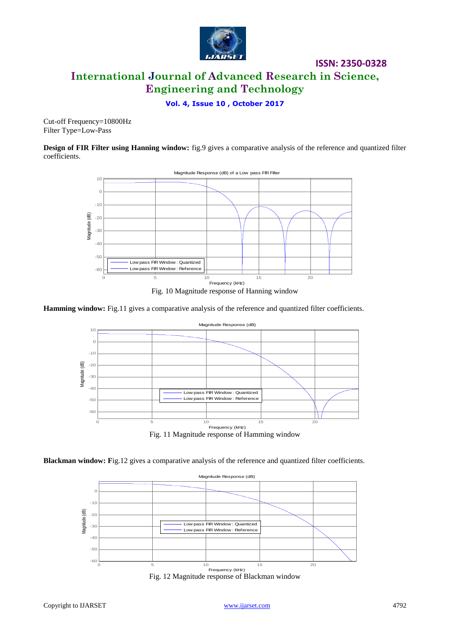

**ISSN: 2350-0328**

**Vol. 4, Issue 10 , October 2017**

Cut-off Frequency=10800Hz Filter Type=Low-Pass

**Design of FIR Filter using Hanning window:** fig.9 gives a comparative analysis of the reference and quantized filter coefficients.



Fig. 10 Magnitude response of Hanning window

#### **Hamming window:** Fig.11 gives a comparative analysis of the reference and quantized filter coefficients.



**Blackman window:** Fig.12 gives a comparative analysis of the reference and quantized filter coefficients.



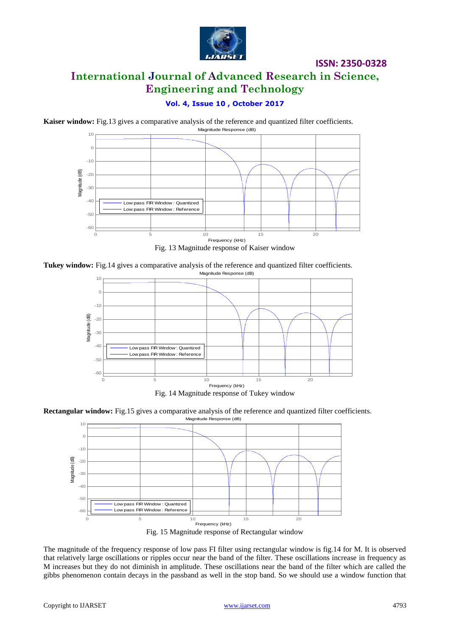

### **Vol. 4, Issue 10 , October 2017**

**Kaiser window:** Fig.13 gives a comparative analysis of the reference and quantized filter coefficients.









Fig. 14 Magnitude response of Tukey window

**Rectangular window:** Fig.15 gives a comparative analysis of the reference and quantized filter coefficients.



The magnitude of the frequency response of low pass FI filter using rectangular window is fig.14 for M. It is observed that relatively large oscillations or ripples occur near the band of the filter. These oscillations increase in frequency as M increases but they do not diminish in amplitude. These oscillations near the band of the filter which are called the gibbs phenomenon contain decays in the passband as well in the stop band. So we should use a window function that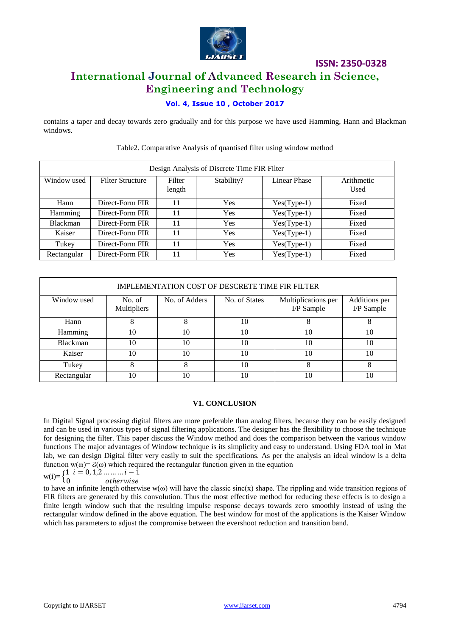

# **ISSN: 2350-0328**

### **International Journal of Advanced Research in Science, Engineering and Technology**

### **Vol. 4, Issue 10 , October 2017**

contains a taper and decay towards zero gradually and for this purpose we have used Hamming, Hann and Blackman windows.

| Design Analysis of Discrete Time FIR Filter |                         |                  |            |               |                    |  |  |  |  |
|---------------------------------------------|-------------------------|------------------|------------|---------------|--------------------|--|--|--|--|
| Window used                                 | <b>Filter Structure</b> | Filter<br>length | Stability? | Linear Phase  | Arithmetic<br>Used |  |  |  |  |
| Hann                                        | Direct-Form FIR         | 11               | Yes        | $Yes(Type-1)$ | Fixed              |  |  |  |  |
| Hamming                                     | Direct-Form FIR         | 11               | Yes        | $Yes(Type-1)$ | Fixed              |  |  |  |  |
| <b>Blackman</b>                             | Direct-Form FIR         | 11               | Yes        | $Yes(Type-1)$ | Fixed              |  |  |  |  |
| Kaiser                                      | Direct-Form FIR         | 11               | Yes        | $Yes(Type-1)$ | Fixed              |  |  |  |  |
| Tukey                                       | Direct-Form FIR         | 11               | Yes        | $Yes(Type-1)$ | Fixed              |  |  |  |  |
| Rectangular                                 | Direct-Form FIR         | 11               | Yes        | $Yes(Type-1)$ | Fixed              |  |  |  |  |

#### Table2. Comparative Analysis of quantised filter using window method

| IMPLEMENTATION COST OF DESCRETE TIME FIR FILTER |                       |               |               |                                   |                             |  |  |  |  |
|-------------------------------------------------|-----------------------|---------------|---------------|-----------------------------------|-----------------------------|--|--|--|--|
| Window used                                     | No. of<br>Multipliers | No. of Adders | No. of States | Multiplications per<br>I/P Sample | Additions per<br>I/P Sample |  |  |  |  |
| Hann                                            |                       | 8             | 10            | 8                                 |                             |  |  |  |  |
| Hamming                                         | 10                    | 10            | 10            | 10                                | 10                          |  |  |  |  |
| <b>Blackman</b>                                 | 10                    | 10            | 10            | 10                                | 10                          |  |  |  |  |
| Kaiser                                          | 10                    | 10            | 10            | 10                                | 10                          |  |  |  |  |
| Tukey                                           |                       | 8             | 10            | 8                                 |                             |  |  |  |  |
| Rectangular                                     | 10                    | 10            | 10            | 10                                | 10                          |  |  |  |  |

#### **V1. CONCLUSION**

In Digital Signal processing digital filters are more preferable than analog filters, because they can be easily designed and can be used in various types of signal filtering applications. The designer has the flexibility to choose the technique for designing the filter. This paper discuss the Window method and does the comparison between the various window functions The major advantages of Window technique is its simplicity and easy to understand. Using FDA tool in Mat lab, we can design Digital filter very easily to suit the specifications. As per the analysis an ideal window is a delta function  $w(\omega) = 2(\omega)$  which required the rectangular function given in the equation

$$
w(i) = \begin{cases} 1 & i = 0, 1, 2, \dots, i - 1 \\ 0 & otherwise \end{cases}
$$

to have an infinite length otherwise  $w(\omega)$  will have the classic sinc(x) shape. The rippling and wide transition regions of FIR filters are generated by this convolution. Thus the most effective method for reducing these effects is to design a finite length window such that the resulting impulse response decays towards zero smoothly instead of using the rectangular window defined in the above equation. The best window for most of the applications is the Kaiser Window which has parameters to adjust the compromise between the evershoot reduction and transition band.